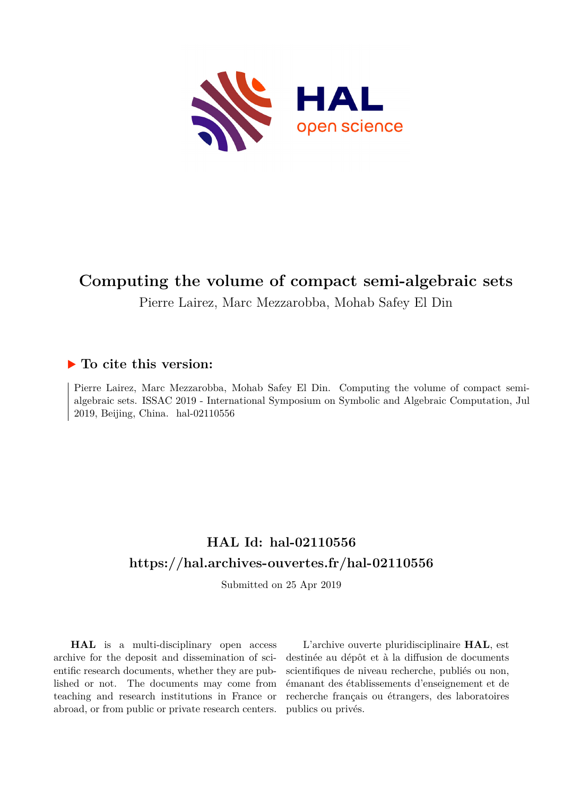

# **Computing the volume of compact semi-algebraic sets**

Pierre Lairez, Marc Mezzarobba, Mohab Safey El Din

# **To cite this version:**

Pierre Lairez, Marc Mezzarobba, Mohab Safey El Din. Computing the volume of compact semialgebraic sets. ISSAC 2019 - International Symposium on Symbolic and Algebraic Computation, Jul  $2019$ , Beijing, China. hal-02110556

# **HAL Id: hal-02110556 <https://hal.archives-ouvertes.fr/hal-02110556>**

Submitted on 25 Apr 2019

**HAL** is a multi-disciplinary open access archive for the deposit and dissemination of scientific research documents, whether they are published or not. The documents may come from teaching and research institutions in France or abroad, or from public or private research centers.

L'archive ouverte pluridisciplinaire **HAL**, est destinée au dépôt et à la diffusion de documents scientifiques de niveau recherche, publiés ou non, émanant des établissements d'enseignement et de recherche français ou étrangers, des laboratoires publics ou privés.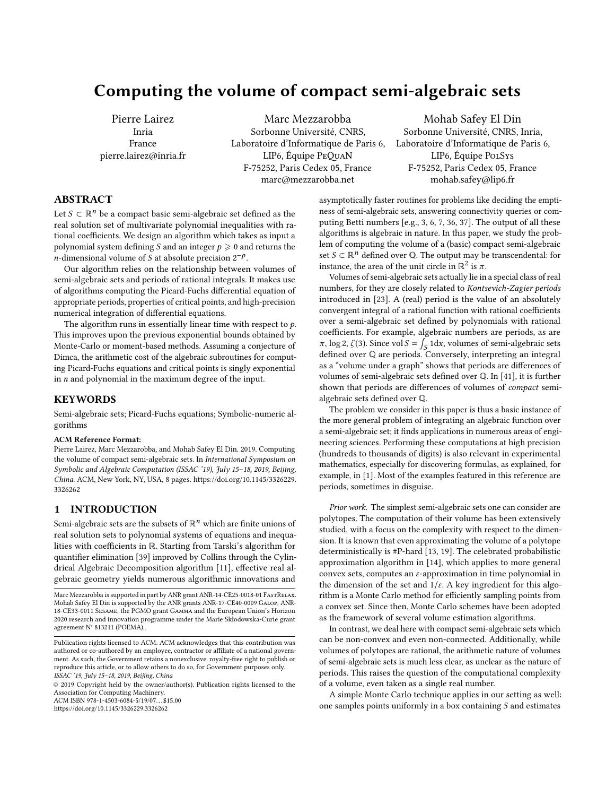# Computing the volume of compact semi-algebraic sets

Pierre Lairez Inria France pierre.lairez@inria.fr

Marc Mezzarobba Sorbonne Université, CNRS, Laboratoire d'Informatique de Paris 6, LIP6, Équipe PeQuaN F-75252, Paris Cedex 05, France marc@mezzarobba.net

Mohab Safey El Din Sorbonne Université, CNRS, Inria, Laboratoire d'Informatique de Paris 6, LIP6, Équipe PolSys F-75252, Paris Cedex 05, France mohab.safey@lip6.fr

# ABSTRACT

Let  $S \subset \mathbb{R}^n$  be a compact basic semi-algebraic set defined as the real solution set of multivariate polynomial inequalities with rational coefficients. We design an algorithm which takes as input a polynomial system defining S and an integer  $p \geq 0$  and returns the n-dimensional volume of S at absolute precision  $2^{-p}$ .<br>Our algorithm relies on the relationship between

Our algorithm relies on the relationship between volumes of semi-algebraic sets and periods of rational integrals. It makes use of algorithms computing the Picard-Fuchs differential equation of appropriate periods, properties of critical points, and high-precision numerical integration of differential equations.

The algorithm runs in essentially linear time with respect to  $p$ . This improves upon the previous exponential bounds obtained by Monte-Carlo or moment-based methods. Assuming a conjecture of Dimca, the arithmetic cost of the algebraic subroutines for computing Picard-Fuchs equations and critical points is singly exponential in n and polynomial in the maximum degree of the input.

# **KEYWORDS**

Semi-algebraic sets; Picard-Fuchs equations; Symbolic-numeric algorithms

#### ACM Reference Format:

Pierre Lairez, Marc Mezzarobba, and Mohab Safey El Din. 2019. Computing the volume of compact semi-algebraic sets. In International Symposium on Symbolic and Algebraic Computation (ISSAC '19), July 15–18, 2019, Beijing, China. ACM, New York, NY, USA, 8 pages. [https://doi.org/10.1145/3326229.](https://doi.org/10.1145/3326229.3326262) [3326262](https://doi.org/10.1145/3326229.3326262)

# 1 INTRODUCTION

Semi-algebraic sets are the subsets of  $\mathbb{R}^n$  which are finite unions of real solution sets to polynomial systems of equations and inequalities with coefficients in R. Starting from Tarski's algorithm for quantifier elimination [39] improved by Collins through the Cylindrical Algebraic Decomposition algorithm [11], effective real algebraic geometry yields numerous algorithmic innovations and

© 2019 Copyright held by the owner/author(s). Publication rights licensed to the Association for Computing Machinery.

ACM ISBN 978-1-4503-6084-5/19/07...\$15.00

<https://doi.org/10.1145/3326229.3326262>

asymptotically faster routines for problems like deciding the emptiness of semi-algebraic sets, answering connectivity queries or computing Betti numbers [e.g., 3, 6, 7, 36, 37]. The output of all these algorithms is algebraic in nature. In this paper, we study the problem of computing the volume of a (basic) compact semi-algebraic set  $S \subset \mathbb{R}^n$  defined over Q. The output may be transcendental: for instance, the area of the unit circle in  $\mathbb{R}^2$  is  $\pi$ .<br>Volumes of semi-algebraic sets actually lie in

Volumes of semi-algebraic sets actually lie in a special class of real numbers, for they are closely related to Kontsevich-Zagier periods introduced in [23]. A (real) period is the value of an absolutely convergent integral of a rational function with rational coefficients over a semi-algebraic set defined by polynomials with rational coefficients. For example, algebraic numbers are periods, as are  $\pi$ , log 2,  $\zeta(3)$ . Since vol  $S = \int_S 1 dx$ , volumes of semi-algebraic sets<br>defined over  $\Omega$  are periods. Conversely, interpreting an integral defined over Q are periods. Conversely, interpreting an integral as a "volume under a graph" shows that periods are differences of volumes of semi-algebraic sets defined over Q. In [41], it is further shown that periods are differences of volumes of compact semialgebraic sets defined over Q.

The problem we consider in this paper is thus a basic instance of the more general problem of integrating an algebraic function over a semi-algebraic set; it finds applications in numerous areas of engineering sciences. Performing these computations at high precision (hundreds to thousands of digits) is also relevant in experimental mathematics, especially for discovering formulas, as explained, for example, in [1]. Most of the examples featured in this reference are periods, sometimes in disguise.

Prior work. The simplest semi-algebraic sets one can consider are polytopes. The computation of their volume has been extensively studied, with a focus on the complexity with respect to the dimension. It is known that even approximating the volume of a polytope deterministically is #P-hard [13, 19]. The celebrated probabilistic approximation algorithm in [14], which applies to more general convex sets, computes an  $\varepsilon$ -approximation in time polynomial in the dimension of the set and  $1/\varepsilon$ . A key ingredient for this algorithm is a Monte Carlo method for efficiently sampling points from a convex set. Since then, Monte Carlo schemes have been adopted as the framework of several volume estimation algorithms.

In contrast, we deal here with compact semi-algebraic sets which can be non-convex and even non-connected. Additionally, while volumes of polytopes are rational, the arithmetic nature of volumes of semi-algebraic sets is much less clear, as unclear as the nature of periods. This raises the question of the computational complexity of a volume, even taken as a single real number.

A simple Monte Carlo technique applies in our setting as well: one samples points uniformly in a box containing  $S$  and estimates

 $\rm{Mac}\,Mezzarobba$  is supported in part by  $\rm{ANR}\,gramt$   $\rm{ANR-14-CE25-0018-01}$   $\rm{Fast}\,RE{\rm{LAX}}$  . Mohab Safey El Din is supported by the ANR grants ANR-17-CE40-0009 Galop, ANR-18-CE33-0011 Sesame, the PGMO grant Gamma and the European Union's Horizon 2020 research and innovation programme under the Marie Skłodowska-Curie grant agreement N° 813211 (POEMA)..

Publication rights licensed to ACM. ACM acknowledges that this contribution was authored or co-authored by an employee, contractor or affiliate of a national government. As such, the Government retains a nonexclusive, royalty-free right to publish or reproduce this article, or to allow others to do so, for Government purposes only. ISSAC '19, July 15–18, 2019, Beijing, China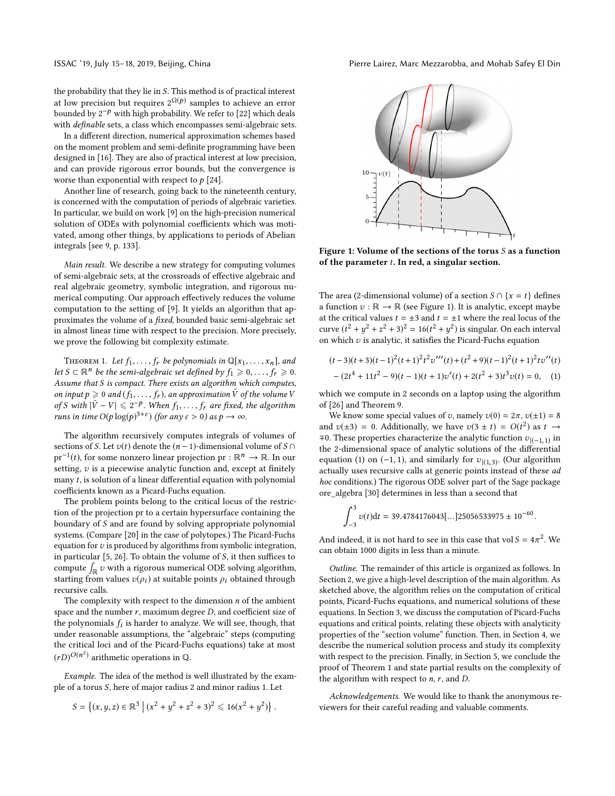the probability that they lie in S. This method is of practical interest at low precision but requires  $2^{\Omega(p)}$  samples to achieve an error bounded by  $2^{-p}$  with high probability. We refer to [22] which deals with definable sets, a class which encompasses semi-algebraic sets.

In a different direction, numerical approximation schemes based on the moment problem and semi-definite programming have been designed in [16]. They are also of practical interest at low precision, and can provide rigorous error bounds, but the convergence is worse than exponential with respect to  $p$  [24].

Another line of research, going back to the nineteenth century, is concerned with the computation of periods of algebraic varieties. In particular, we build on work [9] on the high-precision numerical solution of ODEs with polynomial coefficients which was motivated, among other things, by applications to periods of Abelian integrals [see 9, p. 133].

Main result. We describe a new strategy for computing volumes of semi-algebraic sets, at the crossroads of effective algebraic and real algebraic geometry, symbolic integration, and rigorous numerical computing. Our approach effectively reduces the volume computation to the setting of [9]. It yields an algorithm that approximates the volume of a fixed, bounded basic semi-algebraic set in almost linear time with respect to the precision. More precisely, we prove the following bit complexity estimate.

THEOREM 1. Let  $f_1, \ldots, f_r$  be polynomials in  $\mathbb{Q}[x_1, \ldots, x_n]$ , and let S ⊂  $\mathbb{R}^n$  be the semi-algebraic set defined by  $f_1 \geq 0, \ldots, f_r \geq 0$ .<br>Assume that S is compact. There exists an algorithm which computes Assume that S is compact. There exists an algorithm which computes, on input  $p \geq 0$  and  $(f_1, \ldots, f_r)$ , an approximation  $\tilde{V}$  of the volume V of S with  $|\tilde{V} - V| \le 2^{-p}$ . When  $f_1, ..., f_r$  are fixed, the algorithm<br>runs in time  $O(\epsilon \log(n)^{3+\epsilon})$  (for any s > 0) as  $n \to \infty$ runs in time  $O(p \log(p)^{3+\varepsilon})$  (for any  $\varepsilon > 0$ ) as  $p \to \infty$ .

The algorithm recursively computes integrals of volumes of sections of *S*. Let  $v(t)$  denote the  $(n - 1)$ -dimensional volume of *S* ∩ pr<sup>-1</sup>(t), for some nonzero linear projection pr :  $\mathbb{R}^n \to \mathbb{R}$ . In our setting  $v_i$  is a piecewise analytic function and except at finitely setting,  $v$  is a piecewise analytic function and, except at finitely many  $t$ , is solution of a linear differential equation with polynomial coefficients known as a Picard-Fuchs equation.

The problem points belong to the critical locus of the restriction of the projection pr to a certain hypersurface containing the boundary of S and are found by solving appropriate polynomial systems. (Compare [20] in the case of polytopes.) The Picard-Fuchs equation for  $v$  is produced by algorithms from symbolic integration, in particular [5, 26]. To obtain the volume of S, it then suffices to compute  $\int_{\mathbb{R}} v$  with a rigorous numerical ODE solving algorithm, starting from values  $v(\rho_i)$  at suitable points  $\rho_i$  obtained through recursive calls.

The complexity with respect to the dimension  $n$  of the ambient space and the number  $r$ , maximum degree  $D$ , and coefficient size of the polynomials  $f_i$  is harder to analyze. We will see, though, that under reasonable assumptions the "algebraic" steps (computing under reasonable assumptions, the "algebraic" steps (computing the critical loci and of the Picard-Fuchs equations) take at most  $(rD)^{O(n^2)}$  arithmetic operations in Q.

Example. The idea of the method is well illustrated by the example of a torus S, here of major radius <sup>2</sup> and minor radius 1. Let

$$
S = \{(x, y, z) \in \mathbb{R}^3 \mid (x^2 + y^2 + z^2 + 3)^2 \leq 16(x^2 + y^2)\}
$$



Figure 1: Volume of the sections of the torus S as a function of the parameter  $t$ . In red, a singular section.

The area (2-dimensional volume) of a section  $S \cap \{x = t\}$  defines a function  $v : \mathbb{R} \to \mathbb{R}$  (see Figure 1). It is analytic, except maybe at the critical values  $t = \pm 3$  and  $t = \pm 1$  where the real locus of the curve  $(t^2 + y^2 + z^2 + 3)^2 = 16(t^2 + y^2)$  is singular. On each interval<br>on which zi is analytic, it satisfies the Picard-Fuchs equation on which  $v$  is analytic, it satisfies the Picard-Fuchs equation

$$
(t-3)(t+3)(t-1)^{2}(t+1)^{2}t^{2}v'''(t)+(t^{2}+9)(t-1)^{2}(t+1)^{2}tv''(t)
$$

$$
-(2t^{4}+11t^{2}-9)(t-1)(t+1)v'(t)+2(t^{2}+3)t^{3}v(t)=0,
$$
 (1)

which we compute in 2 seconds on a laptop using the algorithm of [26] and Theorem 9.

We know some special values of v, namely  $v(0) = 2\pi$ ,  $v(\pm 1) = 8$ and  $v(\pm 3) = 0$ . Additionally, we have  $v(3 \pm t) = O(t^2)$  as  $t \rightarrow \pm 0$ . These properties characterize the applytic function  $zw \rightarrow \pm 0$ . ∓0. These properties characterize the analytic function  $v_{|(-1,1)}$  in the 2-dimensional space of analytic solutions of the differential the 2-dimensional space of analytic solutions of the differential equation (1) on (−1, 1), and similarly for  $v_{|(1,3)}$ . (Our algorithm<br>actually uses recursive calls at generic points instead of these *ad* actually uses recursive calls at generic points instead of these ad hoc conditions.) The rigorous ODE solver part of the Sage package ore\_algebra [30] determines in less than a second that

$$
\int_{-3}^{3} v(t)dt = 39.4784176043[...]25056533975 \pm 10^{-60}.
$$

And indeed, it is not hard to see in this case that  $vol S = 4\pi^2$ . We can obtain 1000 digits in less than a minute can obtain 1000 digits in less than a minute.

Outline. The remainder of this article is organized as follows. In Section 2, we give a high-level description of the main algorithm. As sketched above, the algorithm relies on the computation of critical points, Picard-Fuchs equations, and numerical solutions of these equations. In Section 3, we discuss the computation of Picard-Fuchs equations and critical points, relating these objects with analyticity properties of the "section volume" function. Then, in Section 4, we describe the numerical solution process and study its complexity with respect to the precision. Finally, in Section 5, we conclude the proof of Theorem 1 and state partial results on the complexity of the algorithm with respect to  $n$ ,  $r$ , and  $D$ .

Acknowledgements. We would like to thank the anonymous reviewers for their careful reading and valuable comments.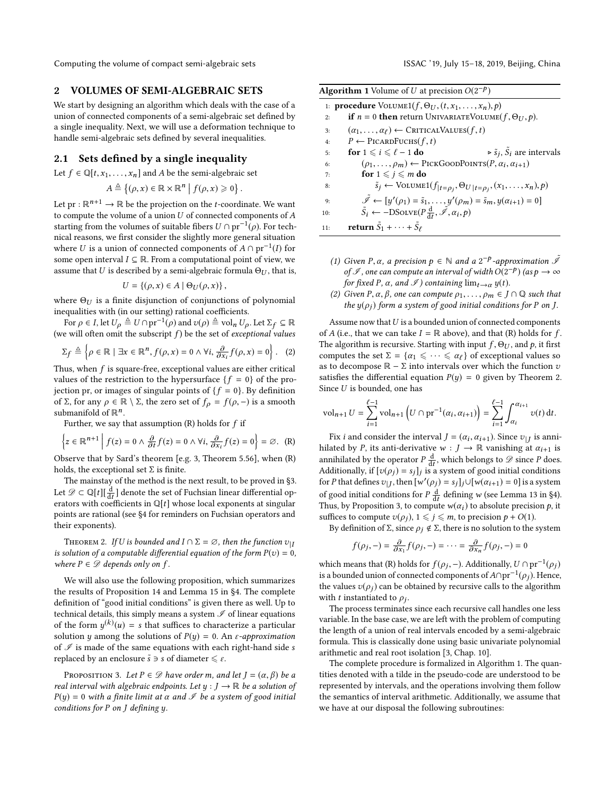Computing the volume of compact semi-algebraic sets ISSAC '19, July 15-18, 2019, Beijing, China

# 2 VOLUMES OF SEMI-ALGEBRAIC SETS

We start by designing an algorithm which deals with the case of a union of connected components of a semi-algebraic set defined by a single inequality. Next, we will use a deformation technique to handle semi-algebraic sets defined by several inequalities.

### 2.1 Sets defined by a single inequality

Let  $f \in \mathbb{Q}[t, x_1, \ldots, x_n]$  and A be the semi-algebraic set

$$
A \triangleq \{(\rho, x) \in \mathbb{R} \times \mathbb{R}^n \mid f(\rho, x) \geq 0\}
$$

Let pr :  $\mathbb{R}^{n+1} \to \mathbb{R}$  be the projection on the *t*-coordinate. We want<br>to compute the volume of a union *U* of connected components of *A* to compute the volume of a union  $U$  of connected components of  $A$ starting from the volumes of suitable fibers  $U \cap pr^{-1}(\rho)$ . For technical reasons, we first consider the slightly more general situation nical reasons, we first consider the slightly more general situation where U is a union of connected components of  $A \cap pr^{-1}(I)$  for some onen interval  $I \subseteq \mathbb{R}$ . From a computational point of view we some open interval  $I \subseteq \mathbb{R}$ . From a computational point of view, we assume that U is described by a semi-algebraic formula  $\Theta_U$ , that is,

$$
U = \{(\rho, x) \in A \mid \Theta_U(\rho, x)\},\
$$

where  $\Theta_U$  is a finite disjunction of conjunctions of polynomial inequalities with (in our setting) rational coefficients. inequalities with (in our setting) rational coefficients.

For  $\rho \in I$ , let  $U_{\rho} \triangleq U \cap \text{pr}^{-1}(\rho)$  and  $v(\rho) \triangleq \text{vol}_n U_{\rho}$ . Let  $\Sigma_f \subseteq \mathbb{R}$ <br>a will often omit the subscript f) be the set of exceptional values (we will often omit the subscript  $f$ ) be the set of *exceptional values* 

$$
\Sigma_f \triangleq \left\{ \rho \in \mathbb{R} \mid \exists x \in \mathbb{R}^n, f(\rho, x) = 0 \land \forall i, \frac{\partial}{\partial x_i} f(\rho, x) = 0 \right\}. \quad (2)
$$

Thus, when f is square-free, exceptional values are either critical<br>values of the restriction to the hypersurface  $\{f = 0\}$  of the provalues of the restriction to the hypersurface  ${f = 0}$  of the projection pr, or images of singular points of  ${f = 0}$ . By definition of Σ, for any  $ρ ∈ ℝ \setminus Σ$ , the zero set of  $fρ = f(ρ, -)$  is a smooth submanifold of  $\mathbb{R}^n$ .

Further, we say that assumption  $(R)$  holds for  $f$  if

$$
\left\{z \in \mathbb{R}^{n+1} \mid f(z) = 0 \land \frac{\partial}{\partial t} f(z) = 0 \land \forall i, \frac{\partial}{\partial x_i} f(z) = 0\right\} = \varnothing. \tag{R}
$$

∂t ∂xi Observe that by Sard's theorem [e.g. 3, Theorem 5.56], when (R) holds, the exceptional set  $\Sigma$  is finite.

The mainstay of the method is the next result, to be proved in §3. Let  $\mathscr{D} \subset \mathbb{Q}[t]$   $\frac{d}{dt}$  denote the set of Fuchsian linear differential operators with coefficients in  $\mathbb{Q}[t]$  whose local exponents at singular  $\text{det } \mathcal{D} \subset \mathbb{Q}[t]$  denote the set of Factional integration operators with coefficients in  $\mathbb{Q}[t]$  whose local exponents at singular points are rational (see 84 for reminders on Fuchsian operators and points are rational (see §4 for reminders on Fuchsian operators and their exponents).

THEOREM 2. If U is bounded and  $I \cap \Sigma = \emptyset$ , then the function  $v_{|I}$ is solution of a computable differential equation of the form  $P(v) = 0$ , where  $P \in \mathcal{D}$  depends only on f.

We will also use the following proposition, which summarizes the results of Proposition 14 and Lemma 15 in §4. The complete definition of "good initial conditions" is given there as well. Up to technical details, this simply means a system  ${\mathscr I}$  of linear equations of the form  $y^{(k)}(u) = s$  that suffices to characterize a particular solution u among the solutions of  $P(u) = 0$ . An c-opproximation solution y among the solutions of  $P(y) = 0$ . An *ε-approximation* of  $\mathcal I$  is made of the same equations with each right-hand side s replaced by an enclosure  $\tilde{s} \ni s$  of diameter  $\leq \varepsilon$ .

PROPOSITION 3. Let  $P \in \mathcal{D}$  have order m, and let  $J = (\alpha, \beta)$  be a real interval with algebraic endpoints. Let  $y : J \to \mathbb{R}$  be a solution of  $P(y) = 0$  with a finite limit at  $\alpha$  and  $\mathscr I$  be a system of good initial conditions for P on J defining y.

| <b>Algorithm 1</b> Volume of U at precision $O(2^{-p})$                 |                                                                                                                    |  |  |  |
|-------------------------------------------------------------------------|--------------------------------------------------------------------------------------------------------------------|--|--|--|
| 1: <b>procedure</b> $Volume1(f, \Theta_{II}, (t, x_1, \ldots, x_n), p)$ |                                                                                                                    |  |  |  |
| 2:                                                                      | <b>if</b> $n = 0$ then return UNIVARIATEVOLUME(f, $\Theta_{U}$ , p).                                               |  |  |  |
| 3:                                                                      | $(\alpha_1,\ldots,\alpha_\ell) \leftarrow$ Critical Values $(f,t)$                                                 |  |  |  |
| 4:                                                                      | $P \leftarrow$ PICARDFUCHS $(f, t)$                                                                                |  |  |  |
| 5:                                                                      | $\triangleright$ $\tilde{s}_i$ , $\tilde{s}_i$ are intervals<br>for $1 \leq i \leq \ell - 1$ do                    |  |  |  |
| 6:                                                                      | $(\rho_1, \ldots, \rho_m) \leftarrow$ PICKGOODPOINTS $(P, \alpha_i, \alpha_{i+1})$                                 |  |  |  |
| 7:                                                                      | for $1 \leqslant i \leqslant m$ do                                                                                 |  |  |  |
| 8:                                                                      | $\tilde{s}_j \leftarrow \text{Volume1}(f_{ t=\rho_j}, \Theta_{U t=\rho_j}, (x_1, \ldots, x_n), p)$                 |  |  |  |
| 9:                                                                      | $\tilde{\mathscr{I}} \leftarrow [y'(\rho_1) = \tilde{s}_1, \ldots, y'(\rho_m) = \tilde{s}_m, y(\alpha_{i+1}) = 0]$ |  |  |  |
| 10:                                                                     | $\tilde{S}_i \leftarrow -\text{DSOLVE}(P\frac{d}{dt}, \tilde{\mathscr{I}}, \alpha_i, p)$                           |  |  |  |
| 11:                                                                     | return $\tilde{S}_1 + \cdots + \tilde{S}_{\ell}$                                                                   |  |  |  |

- (1) Given P,  $\alpha$ , a precision  $p \in \mathbb{N}$  and a  $2^{-p}$ -approximation  $\tilde{\mathscr{I}}$ <br>of  $\mathscr{I}$  and can compute an interval of width  $O(2^{-p})$  (as  $p \to \infty$ of I, one can compute an interval of width  $O(2^{-p})$  (as  $p \to \infty$ <br>for fixed P  $\alpha$  and  $\mathcal{I}$ ) containing  $\lim_{n \to \infty} \mathcal{I}(t)$ for fixed P,  $\alpha$ , and  $\mathscr I$ ) containing  $\lim_{t\to\alpha} y(t)$ .
- (2) Given P,  $\alpha$ ,  $\beta$ , one can compute  $\rho_1, \ldots, \rho_m \in J \cap \mathbb{Q}$  such that the  $y(\rho_i)$  form a system of good initial conditions for P on J.

Assume now that  $U$  is a bounded union of connected components of A (i.e., that we can take  $I = \mathbb{R}$  above), and that (R) holds for f. The algorithm is recursive. Starting with input  $f$ ,  $\Theta$ <sub>U</sub>, and  $p$ , it first computes the set  $\Sigma = {\alpha_1 \leq \cdots \leq \alpha_\ell}$  of exceptional values so as to decompose  $\mathbb{R} - \Sigma$  into intervals over which the function v satisfies the differential equation  $P(y) = 0$  given by Theorem 2. Since  $U$  is bounded, one has

$$
\text{vol}_{n+1} U = \sum_{i=1}^{\ell-1} \text{vol}_{n+1} \left( U \cap \text{pr}^{-1}(\alpha_i, \alpha_{i+1}) \right) = \sum_{i=1}^{\ell-1} \int_{\alpha_i}^{\alpha_{i+1}} v(t) \, \mathrm{d}t.
$$

Fix *i* and consider the interval  $J = (\alpha_i, \alpha_{i+1})$ . Since  $v|_J$  is anni-<br>ated by *P* its anti-derivative  $w : J \to \mathbb{R}$  vanishing at  $\alpha_{i+1}$  is hilated by P, its anti-derivative  $w : J \to \mathbb{R}$  vanishing at  $\alpha_{i+1}$  is annihilated by the operator  $P \frac{d}{dt}$ , which belongs to  $\mathscr D$  since P does.<br>Additionally if  $[x(\alpha)] = s \cdot 1$  is a system of good initial conditions Additionally, if  $[v(\rho_j) = s_j]_j$  is a system of good initial conditions<br>for *P* that defines zur, then  $[w'(\rho_i) = s_i]_j$  [ $[w(\alpha_{i+1}) = 0]$ ] is a system for P that defines  $v_{|J}$ , then  $[w'(\rho_j) = s_j]_j \cup [w(\alpha_{i+1}) = 0]$  is a system of good initial conditions for  $P \frac{d}{dt}$  defining w (see Lemma 13 in §4).<br>Thus, by Proposition 3, to compute  $w(x)$  to obsolute precision  $\rho$ , it Thus, by Proposition 3, to compute  $w(\alpha_i)$  to absolute precision p, it<br>suffices to compute  $z(\alpha_i)$  1 <  $i \le m$  to precision  $p + O(1)$ suffices to compute  $v(\rho_j)$ ,  $1 \leq j \leq m$ , to precision  $p + O(1)$ .

By definition of Σ, since  $ρ<sub>j</sub>$  ∉ Σ, there is no solution to the system

$$
f(\rho_j,-)=\frac{\partial}{\partial x_1}f(\rho_j,-)=\cdots=\frac{\partial}{\partial x_n}f(\rho_j,-)=0
$$

which means that (R) holds for  $f(\rho_j, -)$ . Additionally,  $U \cap \text{pr}^{-1}(\rho_j)$ is a bounded union of connected components of  $A \cap pr^{-1}(\rho_j)$ . Hence,<br>the values  $z(\alpha)$  can be obtained by requiring calls to the algorithm the values  $v(\rho_i)$  can be obtained by recursive calls to the algorithm with t instantiated to  $\rho_j$ .<br>The process terminate

The process terminates since each recursive call handles one less variable. In the base case, we are left with the problem of computing the length of a union of real intervals encoded by a semi-algebraic formula. This is classically done using basic univariate polynomial arithmetic and real root isolation [3, Chap. 10].

The complete procedure is formalized in Algorithm 1. The quantities denoted with a tilde in the pseudo-code are understood to be represented by intervals, and the operations involving them follow the semantics of interval arithmetic. Additionally, we assume that we have at our disposal the following subroutines: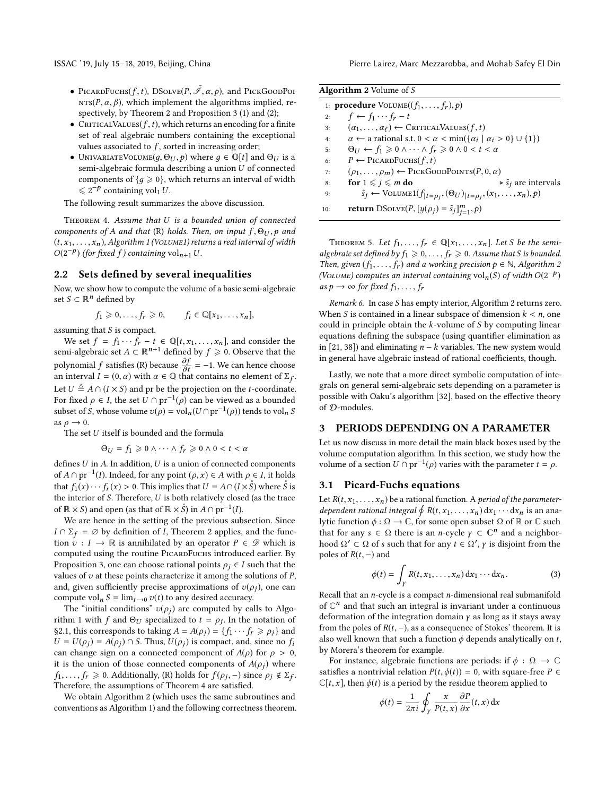- PICARDFUCHS(f, t), DSOLVE(P,  $\tilde{\mathcal{I}}$ ,  $\alpha$ , p), and PICKGOODPOI<br>NTS(P  $\alpha$ ,  $\beta$ ), which implement the algorithms implied re- $NTS(P, \alpha, \beta)$ , which implement the algorithms implied, respectively, by Theorem 2 and Proposition 3 (1) and (2);
- CRITICALVALUES( $f, t$ ), which returns an encoding for a finite set of real algebraic numbers containing the exceptional values associated to  $f$ , sorted in increasing order;
- UNIVARIATEVOLUME $(g, \Theta_U, p)$  where  $g \in \mathbb{Q}[t]$  and  $\Theta_U$  is a semi-algebraic formula describing a union U of connected components of  ${g \ge 0}$ , which returns an interval of width  $\leq 2^{-p}$  containing vol<sub>1</sub> U.

The following result summarizes the above discussion.

Theorem 4. Assume that U is a bounded union of connected components of A and that (R) holds. Then, on input  $f, \Theta_U, p$  and  $(t, x_1, \ldots, x_n)$ , Algorithm 1 (VOLUME1) returns a real interval of width  $O(2^{-p})$  (for fixed f) containing vol<sub>n+1</sub> U.

# 2.2 Sets defined by several inequalities

Now, we show how to compute the volume of a basic semi-algebraic set  $S \subset \mathbb{R}^n$  defined by

$$
f_1 \geq 0, \ldots, f_r \geq 0, \qquad f_i \in \mathbb{Q}[x_1, \ldots, x_n],
$$

assuming that  $S$  is compact.

We set  $f = f_1 \cdots f_r - t \in \mathbb{Q}[t, x_1, \ldots, x_n]$ , and consider the semi-algebraic set  $A \subset \mathbb{R}^{n+1}$  defined by  $f \geq 0$ . Observe that the polynomial f satisfies (R) because  $\frac{\partial f}{\partial t}$ <br>an interval  $I = (0, \alpha)$  with  $\alpha \in \mathbb{Q}$  tha = −1. We can hence choose an interval  $I = (0, \alpha)$  with  $\alpha \in \mathbb{Q}$  that contains no element of  $\Sigma_f$ .<br>Let  $U \triangleq A \odot (I \times \mathbb{C})$  and unleader the application on the top continuous Let  $U \triangleq A \cap (I \times S)$  and pr be the projection on the *t*-coordinate. For fixed  $\rho \in I$ , the set  $\overline{U} \cap \text{pr}^{-1}(\rho)$  can be viewed as a bounded<br>subset of S whose volume  $v(\rho) = \text{vol}((U \cap \text{pr}^{-1}(\rho)))$  tends to vol. subset of *S*, whose volume  $v(\rho) = \text{vol}_n(U \cap \text{pr}^{-1}(\rho))$  tends to vol<sub>n</sub> *S* as  $\rho \rightarrow 0$ .

The set  $U$  itself is bounded and the formula

$$
\Theta_U = f_1 \geqslant 0 \wedge \cdots \wedge f_r \geqslant 0 \wedge 0 < t < \alpha
$$

defines U in A. In addition, U is a union of connected components<br>of  $A \cap \text{pr}^{-1}(I)$  Indeed, for any point  $(a, x) \in A$  with  $a \in I$  it holds of  $A \cap pr^{-1}(I)$ . Indeed, for any point  $(\rho, x) \in A$  with  $\rho \in I$ , it holds<br>that  $f(x) = f(x) > 0$ . This implies that  $II = 4 \circ (I \times \hat{\mathcal{S}})$  where  $\hat{\mathcal{S}}$  is that  $f_1(x) \cdots f_r(x) > 0$ . This implies that  $U = A \cap (I \times \mathring{S})$  where  $\mathring{S}$  is the interior of S. Therefore, U is both relatively closed (as the trace of  $\mathbb{R} \times S$  and open (as that of  $\mathbb{R} \times \hat{S}$ ) in  $A \cap \text{pr}^{-1}(I)$ .<br>We are hance in the setting of the previous sub

We are hence in the setting of the previous subsection. Since  $I \cap \Sigma_f = \emptyset$  by definition of *I*, Theorem 2 applies, and the function  $v: I \to \mathbb{R}$  is annihilated by an operator  $P \in \mathscr{D}$  which is computed using the routine PICARDFUCHS introduced earlier. By Proposition 3, one can choose rational points  $\rho_i \in I$  such that the values of  $v$  at these points characterize it among the solutions of  $P$ , and, given sufficiently precise approximations of  $v(\rho_i)$ , one can compute vol<sub>n</sub>  $S = \lim_{t \to 0} v(t)$  to any desired accuracy.

The "initial conditions"  $v(\rho_i)$  are computed by calls to Algorithm 1 with f and  $\Theta_U$  specialized to  $t = \rho_j$ . In the notation of  $S^2$  1 this corresponds to taking  $A = A(\rho_i) - f_i \dots f > \rho_i$  and §2.1, this corresponds to taking  $A = A(\rho_j) = \{f_1 \cdots f_r \ge \rho_j\}$  and  $U = U(\rho_i) = A(\rho_i) \cap S$ . Thus,  $U(\rho_i)$  is compact, and, since no  $f_i$ can change sign on a connected component of  $A(\rho)$  for  $\rho > 0$ , it is the union of those connected components of  $A(\rho_i)$  where  $f_1, \ldots, f_r \geq 0$ . Additionally, (R) holds for  $f(\rho_j, -)$  since  $\rho_j \notin \Sigma_f$ .<br>Therefore the assumptions of Theorem 4 are satisfied Therefore, the assumptions of Theorem 4 are satisfied.

We obtain Algorithm 2 (which uses the same subroutines and conventions as Algorithm 1) and the following correctness theorem.

| Algorithm 2 Volume of S |  |  |
|-------------------------|--|--|
|                         |  |  |

|     | 1: <b>procedure</b> $Volume((f_1, \ldots, f_r), p)$                                                   |
|-----|-------------------------------------------------------------------------------------------------------|
| 2:  | $f \leftarrow f_1 \cdots f_r - t$                                                                     |
| 3:  | $(\alpha_1,\ldots,\alpha_\ell) \leftarrow \text{CRITICALValues}(f,t)$                                 |
| 4:  | $\alpha \leftarrow$ a rational s.t. $0 < \alpha < \min(\{\alpha_i \mid \alpha_i > 0\} \cup \{1\})$    |
| 5:  | $\Theta_{U} \leftarrow f_1 \geq 0 \wedge \cdots \wedge f_r \geq 0 \wedge 0 < t < \alpha$              |
| 6:  | $P \leftarrow$ PICARDFUCHS $(f, t)$                                                                   |
| 7:  | $(\rho_1, \ldots, \rho_m) \leftarrow$ PICKGOODPOINTS(P, 0, $\alpha$ )                                 |
| 8:  | $\triangleright$ $\tilde{s}_i$ are intervals<br>for $1 \leqslant j \leqslant m$ do                    |
| 9:  | $\tilde{s}_j \leftarrow \text{Volume1}(f_{ t=\rho_j}, (\Theta_U)_{ t=\rho_j}, (x_1, \ldots, x_n), p)$ |
| 10: | <b>return</b> DSoLVE $(P, [y(\rho_j) = \tilde{s}_j]_{j=1}^m, p)$                                      |

THEOREM 5. Let  $f_1, \ldots, f_r \in \mathbb{Q}[x_1, \ldots, x_n]$ . Let S be the semialgebraic set defined by  $f_1 \geqslant 0, \ldots, f_r \geqslant 0$ . Assume that S is bounded. Then, given  $(f_1, \ldots, f_r)$  and a working precision  $p \in \mathbb{N}$ , Algorithm 2 (VOLUME) computes an interval containing vol<sub>n</sub>(S) of width  $O(2^{-p})$ <br>as  $p \to \infty$  for fixed figures as  $p \rightarrow \infty$  for fixed  $f_1, \ldots, f_r$ 

Remark 6. In case S has empty interior, Algorithm 2 returns zero. When S is contained in a linear subspace of dimension  $k < n$ , one could in principle obtain the  $k$ -volume of  $S$  by computing linear equations defining the subspace (using quantifier elimination as in [21, 38]) and eliminating  $n - k$  variables. The new system would in general have algebraic instead of rational coefficients, though.

Lastly, we note that a more direct symbolic computation of integrals on general semi-algebraic sets depending on a parameter is possible with Oaku's algorithm [32], based on the effective theory of D-modules.

### 3 PERIODS DEPENDING ON A PARAMETER

Let us now discuss in more detail the main black boxes used by the volume computation algorithm. In this section, we study how the volume of a section  $U \cap pr^{-1}(\rho)$  varies with the parameter  $t = \rho$ .

# 3.1 Picard-Fuchs equations

Let  $R(t, x_1, \ldots, x_n)$  be a rational function. A *period of the parameter*dependent rational integral  $\oint R(t, x_1, \ldots, x_n) dx_1 \cdots dx_n$  is an ana-<br>lytic function  $\phi : \Omega \to \mathbb{C}$  for some open subset  $\Omega$  of  $\mathbb{R}$  or  $\mathbb{C}$  such lytic function  $\phi$  : Ω → ℂ, for some open subset Ω of ℝ or ℂ such that for any  $s \in \Omega$  there is an *n*-cycle  $\gamma \subset \mathbb{C}^n$  and a neighbor-<br>hood  $\Omega' \subset \Omega$  of s such that for any  $t \in \Omega'$ , *y* is disjoint from the hood  $\Omega' \subset \Omega$  of s such that for any  $t \in \Omega'$ ,  $\gamma$  is disjoint from the poles of  $P(t)$  - and poles of  $R(t, -)$  and

$$
\phi(t) = \int_{\gamma} R(t, x_1, \dots, x_n) dx_1 \cdots dx_n.
$$
 (3)

Recall that an *n*-cycle is a compact *n*-dimensional real submanifold<br>of  $\mathbb{C}^n$  and that such an integral is invariant under a continuous of  $\mathbb{C}^n$  and that such an integral is invariant under a continuous deformation of the integration domain  $\gamma$  as long as it stays away from the poles of  $R(t, -)$ , as a consequence of Stokes' theorem. It is also well known that such a function  $\phi$  depends analytically on t, by Morera's theorem for example.

For instance, algebraic functions are periods: if  $\phi : \Omega \to \mathbb{C}$ satisfies a nontrivial relation  $P(t, \phi(t)) = 0$ , with square-free  $P \in$  $\mathbb{C}[t, x]$ , then  $\phi(t)$  is a period by the residue theorem applied to

$$
\phi(t) = \frac{1}{2\pi i} \oint_Y \frac{x}{P(t,x)} \frac{\partial P}{\partial x}(t,x) dx
$$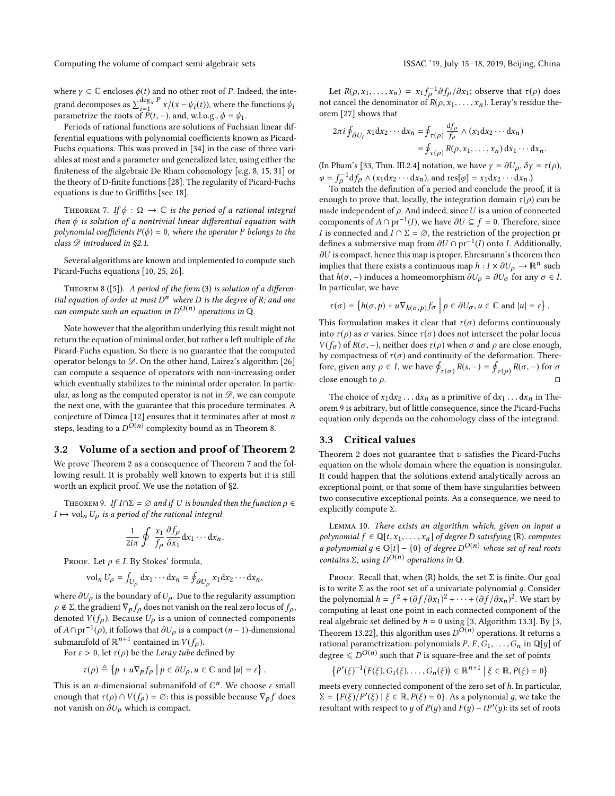Computing the volume of compact semi-algebraic sets ISSAC '19, July 15–18, 2019, Beijing, China

where  $\gamma\subset\mathbb{C}$  encloses  $\phi(t)$  and no other root of  $P.$  Indeed, the integrand decomposes as  $\sum_{i=1}^{\deg_x P} x/(x - \psi_i(t))$ , where the functions  $\psi_i$ <br>parametrize the roots of  $P(t - \psi_i)$  and wlo  $\sigma = \psi_i$ parametrize the roots of  $P(t, -)$ , and, w.l.o.g.,  $\phi = \psi_1$ .<br>Periods of rational functions are solutions of Euche

Periods of rational functions are solutions of Fuchsian linear differential equations with polynomial coefficients known as Picard-Fuchs equations. This was proved in [34] in the case of three variables at most and a parameter and generalized later, using either the finiteness of the algebraic De Rham cohomology [e.g. 8, 15, 31] or the theory of D-finite functions [28]. The regularity of Picard-Fuchs equations is due to Griffiths [see 18].

THEOREM 7. If  $\phi : \Omega \to \mathbb{C}$  is the period of a rational integral then  $\phi$  is solution of a nontrivial linear differential equation with polynomial coefficients  $P(\phi) = 0$ , where the operator P belongs to the class  $\mathscr{D}$  introduced in §2.1.

Several algorithms are known and implemented to compute such Picard-Fuchs equations [10, 25, 26].

THEOREM 8 ([5]). A period of the form  $(3)$  is solution of a differential equation of order at most  $D^n$  where D is the degree of R; and one can compute such an equation in  $D^{O(n)}$  operations in Q.

Note however that the algorithm underlying this result might not return the equation of minimal order, but rather a left multiple of the Picard-Fuchs equation. So there is no guarantee that the computed operator belongs to  $\mathscr{D}$ . On the other hand, Lairez's algorithm [26] can compute a sequence of operators with non-increasing order which eventually stabilizes to the minimal order operator. In particular, as long as the computed operator is not in  $\mathscr{D}$ , we can compute the next one, with the guarantee that this procedure terminates. A conjecture of Dimca [12] ensures that it terminates after at most  $\boldsymbol{n}$ steps, leading to a  $D^{O(n)}$  complexity bound as in Theorem 8.

#### 3.2 Volume of a section and proof of Theorem 2

We prove Theorem 2 as a consequence of Theorem 7 and the following result. It is probably well known to experts but it is still worth an explicit proof. We use the notation of §2.

THEOREM 9. If  $I \cap \Sigma = \emptyset$  and if U is bounded then the function  $\rho \in$  $I \mapsto \text{vol}_n U_\rho$  is a period of the rational integral

$$
\frac{1}{2i\pi}\oint \frac{x_1}{f_\rho}\frac{\partial f_\rho}{\partial x_1}dx_1\cdots dx_n.
$$

PROOF. Let  $\rho \in I$ . By Stokes' formula,

$$
\text{vol}_n U_\rho = \int_{U_\rho} \mathrm{d} x_1 \cdots \mathrm{d} x_n = \oint_{\partial U_\rho} x_1 \mathrm{d} x_2 \cdots \mathrm{d} x_n,
$$

where  $\partial U_{\rho}$  is the boundary of  $U_{\rho}$ . Due to the regularity assumption  $\rho \notin \Sigma$ , the gradient  $\nabla_{\rho} f_{\rho}$  does not vanish on the real zero locus of  $f_{\rho}$ , denoted  $V(f_\rho)$ . Because  $U_\rho$  is a union of connected components of  $A \cap pr^{-1}(\rho)$ , it follows that  $\partial U_{\rho}$  is a compact  $(n-1)$ -dimensional<br>submonifold of  $\mathbb{R}^{n+1}$  contained in  $V(f)$ submanifold of  $\mathbb{R}^{n+1}$  contained in  $V(f_\rho)$ .<br>For  $s > 0$ , let  $\tau(\rho)$  be the Lergy tube de

For  $\varepsilon > 0$ , let  $\tau(\rho)$  be the Leray tube defined by

$$
\tau(\rho) \triangleq \{ p + u \nabla_p f_\rho \mid p \in \partial U_\rho, u \in \mathbb{C} \text{ and } |u| = \varepsilon \}
$$

This is an *n*-dimensional submanifold of  $\mathbb{C}^n$ . We choose  $\varepsilon$  small<br>enough that  $\tau(a) \cap V(f) = \emptyset$ ; this is possible because  $\nabla f$  does enough that  $\tau(\rho) \cap V(f_{\rho}) = \emptyset$ : this is possible because  $\nabla_{\rho} f$  does not vanish on  $\partial U_{\rho}$  which is compact.

Let  $R(\rho, x_1, \dots, x_n) = x_1 f_\rho^{-1} \partial f_\rho / \partial x_1$ ; observe that  $\tau(\rho)$  does not cancel the denominator of  $R(\rho, x_1, \ldots, x_n)$ . Leray's residue theorem [27] shows that

$$
2\pi i \oint_{\partial U_t} x_1 dx_2 \cdots dx_n = \oint_{\tau(\rho)} \frac{df_{\rho}}{f_{\rho}} \wedge (x_1 dx_2 \cdots dx_n)
$$
  
=  $\oint_{\tau(\rho)} R(\rho, x_1, \dots, x_n) dx_1 \cdots dx_n.$ 

(In Pham's [33, Thm. III.2.4] notation, we have  $\gamma = \partial U_{\rho}$ ,  $\delta \gamma = \tau(\rho)$ ,  $\varphi = f_{\rho}^{-1} df_{\rho} \wedge (x_1 dx_2 \cdots dx_n)$ , and res[ $\varphi$ ] =  $x_1 dx_2 \cdots dx_n$ .<br>To match the definition of a period and conclude the pro-

To match the definition of a period and conclude the proof, it is enough to prove that, locally, the integration domain  $\tau(\rho)$  can be made independent of  $\rho$ . And indeed, since U is a union of connected components of  $A \cap pr^{-1}(I)$ , we have  $\partial U \subseteq f = 0$ . Therefore, since <br>*I* is connected and  $I \cap \Sigma = \emptyset$ , the restriction of the projection pr *I* is connected and  $I \cap \Sigma = \emptyset$ , the restriction of the projection pr defines a submersive map from  $\partial U \cap \text{pr}^{-1}(I)$  onto I. Additionally,  $\partial U$  is compact hance this map is proper. Ehreemann's theorem than  $\partial U$  is compact, hence this map is proper. Ehresmann's theorem then implies that there exists a continuous map  $h: I \times \partial U_{\rho} \to \mathbb{R}^n$  such that  $h(\sigma)$  induces a homeomorphism  $\partial U_{\rho} \simeq \partial U_{\rho}$  for any  $\sigma \in I$ that  $h(\sigma, -)$  induces a homeomorphism  $\partial U_{\rho} \simeq \partial U_{\sigma}$  for any  $\sigma \in I$ . In particular, we have

$$
\tau(\sigma) = \left\{ h(\sigma, p) + u \nabla_{h(\sigma, p)} f_{\sigma} \middle| p \in \partial U_{\sigma}, u \in \mathbb{C} \text{ and } |u| = \varepsilon \right\}.
$$

This formulation makes it clear that  $\tau(\sigma)$  deforms continuously into  $\tau$ (ρ) as σ varies. Since  $\tau$ (σ) does not intersect the polar locus  $V(f_{\sigma})$  of  $R(\sigma, -)$ , neither does  $\tau(\rho)$  when  $\sigma$  and  $\rho$  are close enough, by compactness of  $\tau(\sigma)$  and continuity of the deformation. Therefore, given any  $\rho \in I$ , we have  $\oint_{\tau(\sigma)} R(s, -) = \oint_{\tau(\rho)} R(\sigma, -)$  for  $\sigma$ close enough to  $\rho$ .

The choice of  $x_1dx_2...dx_n$  as a primitive of  $dx_1...dx_n$  in Theorem 9 is arbitrary, but of little consequence, since the Picard-Fuchs equation only depends on the cohomology class of the integrand.

### 3.3 Critical values

Theorem 2 does not guarantee that  $v$  satisfies the Picard-Fuchs equation on the whole domain where the equation is nonsingular. It could happen that the solutions extend analytically across an exceptional point, or that some of them have singularities between two consecutive exceptional points. As a consequence, we need to explicitly compute Σ.

Lemma 10. There exists an algorithm which, given on input a polynomial  $f \in \mathbb{Q}[t, x_1, \ldots, x_n]$  of degree D satisfying (R), computes a polynomial  $g \in \mathbb{Q}[t] - \{0\}$  of degree  $D^{O(n)}$  whose set of real roots<br>contains  $\Sigma$  using  $D^{O(n)}$  operations in  $\mathbb{Q}$ contains  $\Sigma$ , using  $D^{O(n)}$  operations in  $\mathbb Q$ .

PROOF. Recall that, when (R) holds, the set  $\Sigma$  is finite. Our goal is to write  $\Sigma$  as the root set of a univariate polynomial q. Consider the polynomial  $h = f^2 + (\partial f/\partial x_1)^2 + \cdots + (\partial f/\partial x_n)^2$ . We start by<br>computing at least one point in each connected component of the computing at least one point in each connected component of the real algebraic set defined by  $h = 0$  using [3, Algorithm 13.3]. By [3, Theorem 13.22], this algorithm uses  $D^{O(n)}$  operations. It returns a rational parametrization: polynomials  $P_F G_G = G$  in  $\mathbb{Q}[u]$  of rational parametrization: polynomials  $P, F, G_1, \ldots, G_n$  in  $\mathbb{Q}[y]$  of degree  $\leq D^{O(n)}$  such that *P* is square-free and the set of points

$$
\{P'(\xi)^{-1}(F(\xi), G_1(\xi), \ldots, G_n(\xi)) \in \mathbb{R}^{n+1} \mid \xi \in \mathbb{R}, P(\xi) = 0\}
$$

meets every connected component of the zero set of h. In particular,<br> $\Sigma = \frac{fF(E)}{P(E)}$ ,  $E \in \mathbb{R}$ ,  $P(E) = 0$ , As a polynomial q, we take the  $\Sigma = \{F(\xi)/P'(\xi) \mid \xi \in \mathbb{R}, P(\xi) = 0\}$ . As a polynomial g, we take the recultant with reconct to u of  $P(u)$  and  $F(u) - tP'(u)$  its set of roots resultant with respect to y of  $P(y)$  and  $F(y) - tP'(y)$ : its set of roots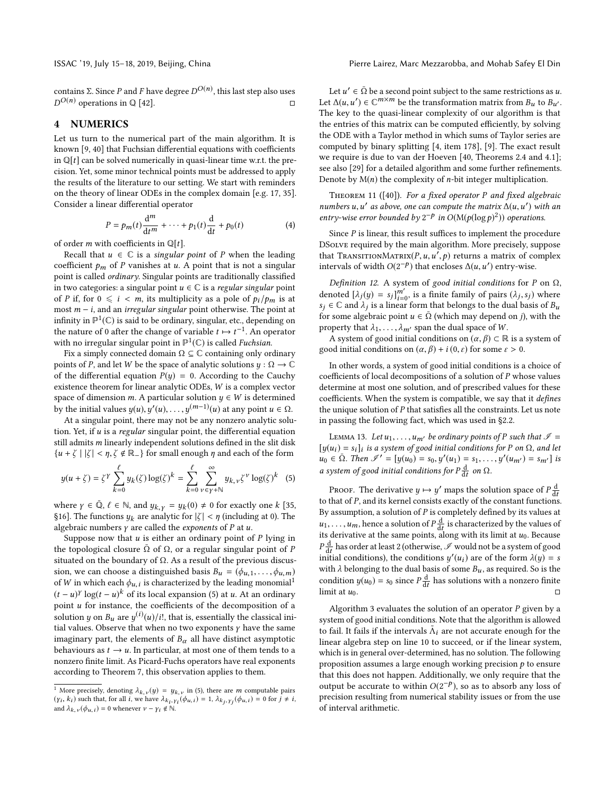# 4 NUMERICS

Let us turn to the numerical part of the main algorithm. It is known [9, 40] that Fuchsian differential equations with coefficients in  $\mathbb{Q}[t]$  can be solved numerically in quasi-linear time w.r.t. the precision. Yet, some minor technical points must be addressed to apply the results of the literature to our setting. We start with reminders on the theory of linear ODEs in the complex domain [e.g. 17, 35]. Consider a linear differential operator

$$
P = p_m(t)\frac{d^m}{dt^m} + \dots + p_1(t)\frac{d}{dt} + p_0(t)
$$
\n(4)

of order *m* with coefficients in  $\mathbb{Q}[t]$ .<br>Recall that  $u \in \mathbb{C}$  is a singular

Recall that  $u \in \mathbb{C}$  is a *singular point* of P when the leading coefficient  $p_m$  of P vanishes at u. A point that is not a singular point is called ordinary. Singular points are traditionally classified in two categories: a singular point  $u \in \mathbb{C}$  is a regular singular point of P if, for  $0 \le i < m$ , its multiplicity as a pole of  $p_i/p_m$  is at most  $m - i$ , and an *irregular singular* point otherwise. The point at infinity in  $\mathbb{P}^1(\mathbb{C})$  is said to be ordinary, singular, etc., depending on the nature of 0 after the change of variable  $t \mapsto t^{-1}$ . An operator<br>with no irregular singular point in  $\mathbb{P}^1(\mathbb{C})$  is called Euchsian with no irregular singular point in  $\mathbb{P}^1(\mathbb{C})$  is called Fuchsian.

Fix a simply connected domain  $\Omega \subseteq \mathbb{C}$  containing only ordinary points of P, and let W be the space of analytic solutions  $y : \Omega \to \mathbb{C}$ of the differential equation  $P(y) = 0$ . According to the Cauchy existence theorem for linear analytic ODEs, W is a complex vector space of dimension m. A particular solution  $y \in W$  is determined by the initial values  $y(u)$ ,  $y'(u)$ , ...,  $y^{(m-1)}(u)$  at any point  $u \in \Omega$ .<br>At a singular point, there may not be any pop zero applytic solution

At a singular point, there may not be any nonzero analytic solution. Yet, if  $u$  is a regular singular point, the differential equation still admits m linearly independent solutions defined in the slit disk  ${u + \zeta | |\zeta| < \eta, \zeta \notin \mathbb{R}_-\}$  for small enough  $\eta$  and each of the form

$$
y(u+\zeta) = \zeta^{\gamma} \sum_{k=0}^{\ell} y_k(\zeta) \log(\zeta)^k = \sum_{k=0}^{\ell} \sum_{\nu \in \gamma + \mathbb{N}}^{\infty} y_{k,\nu} \zeta^{\nu} \log(\zeta)^k \tag{5}
$$

where  $\gamma \in \overline{\mathbb{Q}}$ ,  $\ell \in \mathbb{N}$ , and  $y_{k, \gamma} = y_k(0) \neq 0$  for exactly one k [35, 816]. The functions  $y_k$  are analytic for  $|\zeta| \leq n$  (including at 0). The §16]. The functions  $y_k$  are analytic for  $|\zeta| < \eta$  (including at 0). The algebraic numbers  $\gamma$  are called the *exponents* of  $P$  at  $u$ .

Suppose now that  $u$  is either an ordinary point of  $P$  lying in the topological closure  $\overline{\Omega}$  of  $\Omega$ , or a regular singular point of P situated on the boundary of  $Ω$ . As a result of the previous discussion, we can choose a distinguished basis  $B_u = (\phi_{u,1}, \dots, \phi_{u,m})$ of W in which each  $\phi_{u,i}$  is characterized by the leading monomial<sup>1</sup>  $(t - u)^y \log(t - u)^k$  of its local expansion (5) at u. At an ordinary<br>point u for instance, the coefficients of the decomposition of a point  $u$  for instance, the coefficients of the decomposition of a solution y on  $B_u$  are  $y^{(i)}(u)/i!$ , that is, essentially the classical initial values. Observe that when no two exponents y have the same tial values. Observe that when no two exponents  $\gamma$  have the same imaginary part, the elements of  $B_{\alpha}$  all have distinct asymptotic behaviours as  $t \to u$ . In particular, at most one of them tends to a nonzero finite limit. As Picard-Fuchs operators have real exponents according to Theorem 7, this observation applies to them.

Let  $u' \in \bar{\Omega}$  be a second point subject to the same restrictions as u.<br>  $\Lambda(u, u') \in \mathbb{C}^{m \times m}$  be the transformation matrix from  $R_1$  to  $R_2$ . Let  $\Delta(u, u') \in \mathbb{C}^{m \times m}$  be the transformation matrix from  $B_u$  to  $B_{u'}$ .<br>The leve to the quasi-linear complexity of our algorithm is that The key to the quasi-linear complexity of our algorithm is that the entries of this matrix can be computed efficiently, by solving the ODE with a Taylor method in which sums of Taylor series are computed by binary splitting [4, item 178], [9]. The exact result we require is due to van der Hoeven [40, Theorems 2.4 and 4.1]; see also [29] for a detailed algorithm and some further refinements. Denote by  $M(n)$  the complexity of *n*-bit integer multiplication.

Theorem 11 ([40]). For a fixed operator P and fixed algebraic numbers u, u' as above, one can compute the matrix  $\Delta(u, u')$  with an entry-wise error bounded by  $2^{-p}$  in  $O(Mp(\log p)^2)$  operations entry-wise error bounded by  $2^{-p}$  in  $O(M(p(\log p)^2))$  operations.

Since  $P$  is linear, this result suffices to implement the procedure DSolve required by the main algorithm. More precisely, suppose that TRANSITIONMATRIX $(P, u, u', p)$  returns a matrix of complex<br>intervals of width  $O(2^{-p})$  that encloses  $A(u, u')$  entry-wise intervals of width  $O(2^{-p})$  that encloses  $\Delta(u, u')$  entry-wise.

Definition 12. A system of good initial conditions for P on  $\Omega$ , denoted  $[\lambda_j(y) = s_j]_{i=0}^{m'}$ , is a finite family of pairs  $(\lambda_j, s_j)$  where  $s_i \in \mathbb{C}$  and  $\lambda_i$  is a linear form that belongs to the dual basis of  $\mathbb{R}$ .  $s_j \in \mathbb{C}$  and  $\lambda_j$  is a linear form that belongs to the dual basis of  $B_u$ <br>
for some algebraic point  $u \in \overline{\Omega}$  (which may denend on i) with the for some algebraic point  $u \in \overline{\Omega}$  (which may depend on j), with the property that  $\lambda_1, \ldots, \lambda_{m'}$  span the dual space of W.

A system of good initial conditions on  $(\alpha, \beta) \subset \mathbb{R}$  is a system of good initial conditions on  $(\alpha, \beta) + i(0, \varepsilon)$  for some  $\varepsilon > 0$ .

In other words, a system of good initial conditions is a choice of coefficients of local decompositions of a solution of P whose values determine at most one solution, and of prescribed values for these coefficients. When the system is compatible, we say that it defines the unique solution of  $P$  that satisfies all the constraints. Let us note in passing the following fact, which was used in §2.2.

LEMMA 13. Let  $u_1, \ldots, u_{m'}$  be ordinary points of P such that  $\mathscr{I} =$  $[y(u_i) = s_i]_i$  is a system of good initial conditions for P on  $\Omega$ , and let<br> $y_0 \in \overline{\Omega}$ . Then  $\mathscr{U} = [y(u_0) = s_0, y'(u_1) = s_1, y'(u_1) = s_0]$  is  $u_0 \in \overline{\Omega}$ . Then  $\mathscr{I}' = [y(u_0) = s_0, y'(u_1) = s_1, \dots, y'(u_{m'}) = s_{m'}]$  is a system of good initial conditions for  $P\frac{d}{dt}$  on  $\Omega$ .

PROOF. The derivative  $y \mapsto y'$  maps the solution space of  $P\frac{d}{dt}$ <br>that of P and its kernal consists exactly of the constant function to that of P, and its kernel consists exactly of the constant functions.<br>By assumption a solution of P is completely defined by its values at By assumption, a solution of  $P$  is completely defined by its values at  $u_1, \ldots, u_m$ , hence a solution of  $P\frac{d}{dt}$  is characterized by the values of its derivative at the same points along with its limit at  $u_0$ . Because  $u_1, \ldots, u_m$ , nence a solution of  $I_{dt}$  is characterized by the values of<br>its derivative at the same points, along with its limit at  $u_0$ . Because  $\frac{d}{dt}$  has once at least 2 (official wise,  $\mathcal{S}$  would not be a system of good<br>initial conditions), the conditions  $y'(u_i)$  are of the form  $\lambda(y) = s$ <br>with  $\lambda$  belonging to the dual basis of some B, as required. So is  $\frac{d}{dt}$  has order at least 2 (otherwise,  $\mathscr I$  would not be a system of good with  $\lambda$  belonging to the dual basis of some  $B_u$ , as required. So is the condition  $y(u_0) = s_0$  since  $P\frac{d}{dt}$  has solutions with a nonzero finite<br>limit at  $u_0$ . limit at  $u_0$ . □

Algorithm 3 evaluates the solution of an operator  $P$  given by a system of good initial conditions. Note that the algorithm is allowed to fail. It fails if the intervals  $\tilde{\Lambda}_i$  are not accurate enough for the linear system linear algebra step on line 10 to succeed, or if the linear system, which is in general over-determined, has no solution. The following proposition assumes a large enough working precision  $p$  to ensure that this does not happen. Additionally, we only require that the output be accurate to within  $O(2^{-p})$ , so as to absorb any loss of precision resulting from numerical stability issues or from the use precision resulting from numerical stability issues or from the use of interval arithmetic.

<sup>&</sup>lt;sup>1</sup> More precisely, denoting  $\lambda_{k,\nu}(y) = y_{k,\nu}$  in (5), there are *m* computable pairs  $(\gamma_i, k_i)$  such that, for all *i*, we have  $\lambda_{k_i, \gamma_i}(\phi_{u,i}) = 1, \lambda_{k_j, \gamma_j}(\phi_{u,i}) = 0$  for  $j \neq i$ , and  $\lambda_i$ ,  $(\phi_{u,i}) = 0$  whenever  $u - v_i \notin \mathbb{N}$ and  $\lambda_{k, \nu}(\phi_{u,i}) = 0$  whenever  $\nu - \gamma_i \notin \mathbb{N}$ .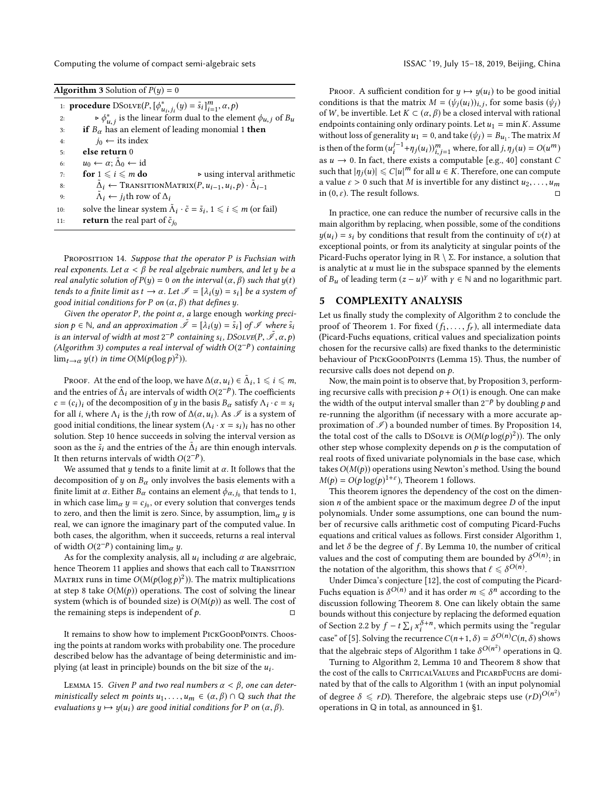Computing the volume of compact semi-algebraic sets ISSAC '19, July 15-18, 2019, Beijing, China

| <b>Algorithm 3</b> Solution of $P(y) = 0$ |                                                                                                        |  |  |  |
|-------------------------------------------|--------------------------------------------------------------------------------------------------------|--|--|--|
|                                           | 1: <b>procedure</b> $D\text{Solve}(P, [\phi^*_{u_i, j_i}(y) = \tilde{s}_i]^m_{i=1}, \alpha, p)$        |  |  |  |
| 2:                                        | $\triangleright \phi_{u,i}^*$ is the linear form dual to the element $\phi_{u,j}$ of $B_u$             |  |  |  |
| 3:                                        | if $B_{\alpha}$ has an element of leading monomial 1 then                                              |  |  |  |
| 4:                                        | $j_0 \leftarrow$ its index                                                                             |  |  |  |
| 5:                                        | else return 0                                                                                          |  |  |  |
| 6:                                        | $u_0 \leftarrow \alpha$ ; $\tilde{\Delta}_0 \leftarrow id$                                             |  |  |  |
| 7:                                        | for $1 \leq i \leq m$ do<br>$\triangleright$ using interval arithmetic                                 |  |  |  |
| 8:                                        | $\tilde{\Delta}_i \leftarrow \text{TransitionalMatrix}(P, u_{i-1}, u_i, p) \cdot \tilde{\Delta}_{i-1}$ |  |  |  |
| 9:                                        | $\Lambda_i \leftarrow j_i$ th row of $\Delta_i$                                                        |  |  |  |
| 10:                                       | solve the linear system $\tilde{\Lambda}_i \cdot \tilde{c} = \tilde{s}_i, 1 \leq i \leq m$ (or fail)   |  |  |  |
| 11:                                       | <b>return</b> the real part of $\tilde{c}_{j_0}$                                                       |  |  |  |

PROPOSITION 14. Suppose that the operator P is Fuchsian with real exponents. Let  $\alpha < \beta$  be real algebraic numbers, and let y be a real analytic solution of  $P(y) = 0$  on the interval  $(\alpha, \beta)$  such that  $y(t)$ tends to a finite limit as  $t \to \alpha$ . Let  $\mathscr{I} = [\lambda_i(y) = s_i]$  be a system of good initial conditions for P on  $(\alpha, \beta)$  that defines y.

Given the operator P, the point  $\alpha$ , a large enough working precision  $p \in \mathbb{N}$ , and an approximation  $\tilde{\mathscr{I}} = [\lambda_i(y) = \tilde{s}_i]$  of  $\mathscr{I}$  where  $\tilde{s}_i$ is an interval of width at most  $2^{-p}$  containing  $s_i$ , DSoLve $(P, \tilde{S}, \alpha, p)$ <br>(Algorithm 3) computes a real interval of width  $O(2^{-p})$  containing (Algorithm 3) computes a real interval of width  $O(2^{-p})$  containing<br> $\lim_{n \to \infty} \frac{u(t)}{n \cdot \lim_{n \to \infty} O(M(n(\log n)^2))}$  $\lim_{t\to\alpha} y(t)$  in time  $O(M(p(\log p)^2))$ .

PROOF. At the end of the loop, we have  $\Delta(\alpha, u_i) \in \tilde{\Delta}_i, 1 \le i \le m$ ,<br>d the entries of  $\tilde{\Delta}_i$  are intervals of width  $O(2^{-p})$ . The soofficients and the entries of  $\tilde{\Delta}_i$  are intervals of width  $O(2^{-p})$ . The coefficients  $c = (c_1)$  of the decomposition of u in the basis  $B$  satisfy  $\Delta_{i,j} c = c_j$  $c = (c_i)_i$  of the decomposition of y in the basis  $B_\alpha$  satisfy  $\Lambda_i \cdot c = s_i$ <br>for all i where  $\Lambda_i$  is the *i*-th row of  $\Lambda(\alpha, u_i)$ . As  $\emptyset$  is a system of for all *i*, where  $\Lambda_i$  is the *j*<sub>i</sub>th row of  $\Delta(\alpha, u_i)$ . As  $\mathcal{I}$  is a system of good initial conditions the linear system  $(\Lambda_i, \Lambda_i - \epsilon_i)$ , has no other good initial conditions, the linear system  $(\Lambda_i \cdot x = s_i)_i$  has no other solution. Step 10 hance succeeds in solving the interval version as solution. Step 10 hence succeeds in solving the interval version as soon as the  $\tilde{s}_i$  and the entries of the  $\tilde{\Delta}_i$  are thin enough intervals.<br>It then returns intervals of width  $O(2^{-p})$ It then returns intervals of width  $O(2^{-p})$ .<br>We assumed that u tands to a finite lim

We assumed that  $y$  tends to a finite limit at  $\alpha$ . It follows that the decomposition of y on  $B_{\alpha}$  only involves the basis elements with a finite limit at  $\alpha$ . Either  $B_{\alpha}$  contains an element  $\phi_{\alpha,j_0}$  that tends to 1, in which case limit  $\mu = c$ ; or every solution that converges tends in which case  $\lim_{\alpha} y = c_{j_0}$ , or every solution that converges tends<br>to zero, and then the limit is zero. Since by assumption, limit wis to zero, and then the limit is zero. Since, by assumption,  $\lim_{\alpha} y$  is real, we can ignore the imaginary part of the computed value. In both cases, the algorithm, when it succeeds, returns a real interval of width  $O(2^{-p})$  containing  $\lim_{\alpha} y$ .

As for the complexity analysis, all  $u_i$  including  $\alpha$  are algebraic,<br>ace Theorem 11 applies and shows that each call to TRANSITION hence Theorem 11 applies and shows that each call to TRANSITION MATRIX runs in time  $O(M(p(\log p)^2))$ . The matrix multiplications<br>at step 8 take  $O(M(n))$  operations. The cost of solving the linear at step 8 take  $O(M(p))$  operations. The cost of solving the linear system (which is of bounded size) is  $O(M(p))$  as well. The cost of the remaining steps is independent of  $p$ . the remaining steps is independent of  $p$ .

It remains to show how to implement PICKGOODPOINTS. Choosing the points at random works with probability one. The procedure described below has the advantage of being deterministic and implying (at least in principle) bounds on the bit size of the  $u_i$ .

LEMMA 15. Given P and two real numbers  $\alpha < \beta$ , one can deterministically select m points  $u_1, \ldots, u_m \in (\alpha, \beta) \cap \mathbb{Q}$  such that the evaluations  $y \mapsto y(u_i)$  are good initial conditions for P on  $(\alpha, \beta)$ .

PROOF. A sufficient condition for  $y \mapsto y(u_i)$  to be good initial conditions is that the matrix  $M = (\psi_j(u_i))_{i,j}$ , for some basis  $(\psi_j)$ <br>of W be invertible Let  $K \subset (\alpha, \beta)$  be a closed interval with rational of W, be invertible. Let  $K \subset (\alpha, \beta)$  be a closed interval with rational endpoints containing only ordinary points. Let  $u_1 = \min K$ . Assume without loss of generality  $u_1 = 0$ , and take  $(\psi_j) = B_{u_1}$ . The matrix M is then of the form  $(u_i^{j-1} + \eta_j(u_i))_{i,j=1}^m$  where, for all  $j, \eta_j(u) = O(u^m)$ <br>as  $u \to 0$ . In fact, there exists a computable  $[\alpha, \alpha, \beta]$  constant C as  $u \to 0$ . In fact, there exists a computable [e.g., 40] constant C<br>such that  $|u_1(u)| \leq C |u|^m$  for all  $u \in K$ . Therefore, one can compute such that  $|\eta_j(u)| \leq C|u|^m$  for all  $u \in K$ . Therefore, one can compute a value  $\varepsilon > 0$  such that *M* is invertible for any distinct  $u_2, \ldots, u_m$ <br>in (0,  $\varepsilon$ ). The result follows. in  $(0, \varepsilon)$ . The result follows.

In practice, one can reduce the number of recursive calls in the main algorithm by replacing, when possible, some of the conditions  $y(u_i) = s_i$  by conditions that result from the continuity of  $v(t)$  at exceptional points, or from its analyticity at singular points of the Picard-Fuchs operator lying in  $\mathbb{R} \setminus \Sigma$ . For instance, a solution that is analytic at  $u$  must lie in the subspace spanned by the elements of  $B_u$  of leading term  $(z - u)^{\gamma}$  with  $\gamma \in \mathbb{N}$  and no logarithmic part.

# 5 COMPLEXITY ANALYSIS

Let us finally study the complexity of Algorithm 2 to conclude the proof of Theorem 1. For fixed  $(f_1, \ldots, f_r)$ , all intermediate data (Picard-Fuchs equations, critical values and specialization points chosen for the recursive calls) are fixed thanks to the deterministic behaviour of PICKGOODPOINTS (Lemma 15). Thus, the number of recursive calls does not depend on  $p$ .

Now, the main point is to observe that, by Proposition 3, performing recursive calls with precision  $p + O(1)$  is enough. One can make the width of the output interval smaller than  $2^{-p}$  by doubling p and re-running the algorithm (if necessary with a more accurate and re-running the algorithm (if necessary with a more accurate approximation of  $\mathscr{I}$ ) a bounded number of times. By Proposition 14, the total cost of the calls to DSolve is  $O(M(p \log(p)^2))$ . The only other step whose complexity depends on *n* is the computation of other step whose complexity depends on  $p$  is the computation of real roots of fixed univariate polynomials in the base case, which takes  $O(M(p))$  operations using Newton's method. Using the bound  $M(p) = O(p \log(p)^{1+\epsilon})$ , Theorem 1 follows.<br>This theorem ignores the dependency of

This theorem ignores the dependency of the cost on the dimension  $n$  of the ambient space or the maximum degree  $D$  of the input polynomials. Under some assumptions, one can bound the number of recursive calls arithmetic cost of computing Picard-Fuchs equations and critical values as follows. First consider Algorithm 1, and let  $\delta$  be the degree of  $f$ . By Lemma 10, the number of critical values and the cost of computing them are bounded by  $\delta^{O(n)}$ ; in the notation of the elements the chouse that  $\ell < \delta^{O(n)}$ the notation of the algorithm, this shows that  $\ell \leq \delta^{O(n)}$ .<br>Linder Dimea's conjecture [12], the cost of computing the

Under Dimca's conjecture [12], the cost of computing the Picard-Fuchs equation is  $\delta^{O(n)}$  and it has order  $m \leq \delta^n$  according to the discussion following Theorem 8. One can likely obtain the same discussion following Theorem 8. One can likely obtain the same bounds without this conjecture by replacing the deformed equation of Section 2.2 by  $f - t \sum_i x_i^{\delta+n}$ , which permits using the "regular" case" of [5]. Solving the recurrence  $C(n+1, \delta) = \delta^{O(n)} C(n, \delta)$  shows that the algebraic steps of Algorithm 1 take  $\delta^{O(n^2)}$  operations in Q.<br>Turning to Algorithm 2, Lemma 10 and Theorem 8 show that

Turning to Algorithm 2, Lemma 10 and Theorem 8 show that the cost of the calls to CRITICALVALUES and PICARDFUCHS are dominated by that of the calls to Algorithm 1 (with an input polynomial of degree  $\delta \le rD$ ). Therefore, the algebraic steps use  $(rD)^{O(n^2)}$ <br>operations in  $\Omega$  in total as announced in  $\delta$ 1 operations in Q in total, as announced in §1.